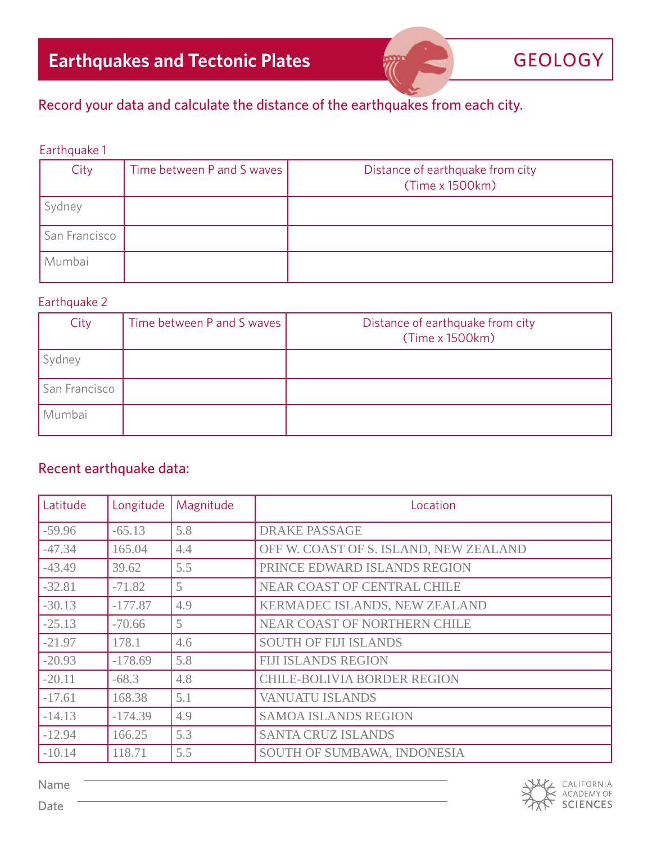## Record your data and calculate the distance of the earthquakes from each city.

### Earthquake 1

| City          | Time between P and S waves | Distance of earthquake from city<br>(Time x 1500km) |
|---------------|----------------------------|-----------------------------------------------------|
| Sydney        |                            |                                                     |
| San Francisco |                            |                                                     |
| Mumbai        |                            |                                                     |

#### Earthquake 2

| City          | Time between P and S waves | Distance of earthquake from city<br>(Time x 1500km) |
|---------------|----------------------------|-----------------------------------------------------|
| Sydney        |                            |                                                     |
| San Francisco |                            |                                                     |
| Mumbai        |                            |                                                     |

### Recent earthquake data:

| Latitude | Longitude | Magnitude | Location                               |
|----------|-----------|-----------|----------------------------------------|
| $-59.96$ | $-65.13$  | 5.8       | <b>DRAKE PASSAGE</b>                   |
| $-47.34$ | 165.04    | 4.4       | OFF W. COAST OF S. ISLAND, NEW ZEALAND |
| $-43.49$ | 39.62     | 5.5       | PRINCE EDWARD ISLANDS REGION           |
| $-32.81$ | $-71.82$  | 5         | <b>NEAR COAST OF CENTRAL CHILE</b>     |
| $-30.13$ | $-177.87$ | 4.9       | KERMADEC ISLANDS, NEW ZEALAND          |
| $-25.13$ | $-70.66$  | 5         | NEAR COAST OF NORTHERN CHILE           |
| $-21.97$ | 178.1     | 4.6       | <b>SOUTH OF FIJI ISLANDS</b>           |
| $-20.93$ | $-178.69$ | 5.8       | <b>FIJI ISLANDS REGION</b>             |
| $-20.11$ | $-68.3$   | 4.8       | <b>CHILE-BOLIVIA BORDER REGION</b>     |
| $-17.61$ | 168.38    | 5.1       | <b>VANUATU ISLANDS</b>                 |
| $-14.13$ | $-174.39$ | 4.9       | <b>SAMOA ISLANDS REGION</b>            |
| $-12.94$ | 166.25    | 5.3       | <b>SANTA CRUZ ISLANDS</b>              |
| $-10.14$ | 118.71    | 5.5       | SOUTH OF SUMBAWA, INDONESIA            |



Name

Date